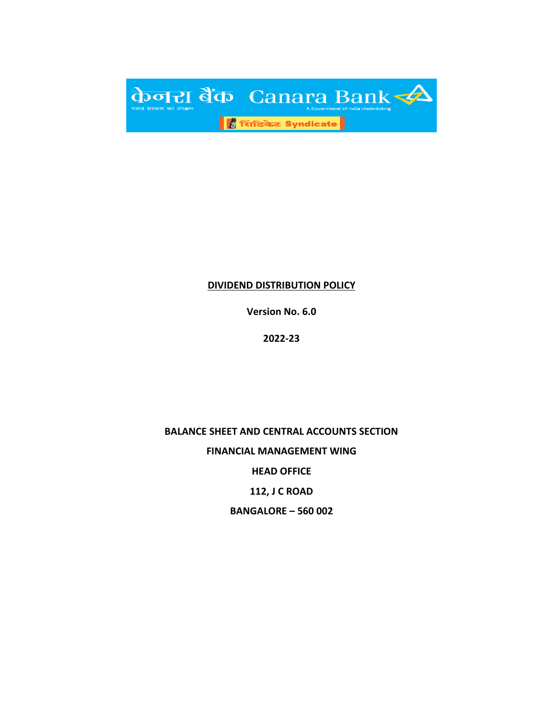

#### **DIVIDEND DISTRIBUTION POLICY**

**Version No. 6.0**

**2022-23**

**BALANCE SHEET AND CENTRAL ACCOUNTS SECTION FINANCIAL MANAGEMENT WING HEAD OFFICE 112, J C ROAD BANGALORE – 560 002**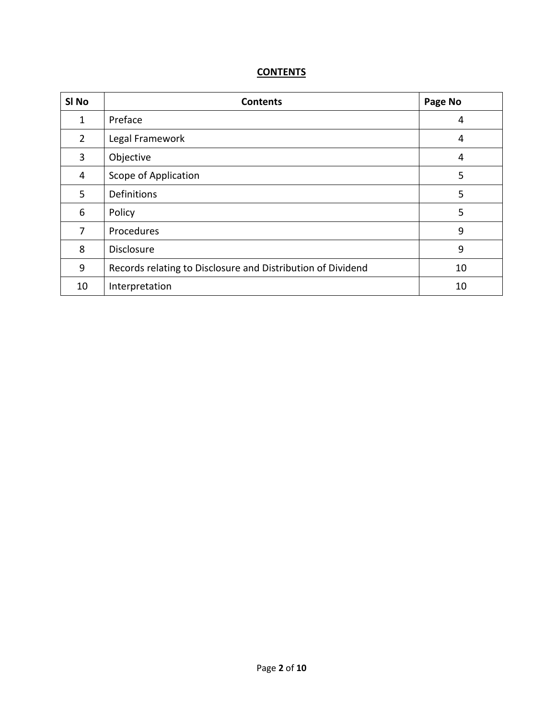## **CONTENTS**

| SI <sub>No</sub> | <b>Contents</b>                                             | Page No |
|------------------|-------------------------------------------------------------|---------|
| 1                | Preface                                                     | 4       |
| $\overline{2}$   | Legal Framework                                             | 4       |
| 3                | Objective                                                   | 4       |
| 4                | Scope of Application                                        | 5       |
| 5                | Definitions                                                 | 5       |
| 6                | Policy                                                      | 5       |
| 7                | Procedures                                                  | 9       |
| 8                | <b>Disclosure</b>                                           | 9       |
| 9                | Records relating to Disclosure and Distribution of Dividend | 10      |
| 10               | Interpretation                                              | 10      |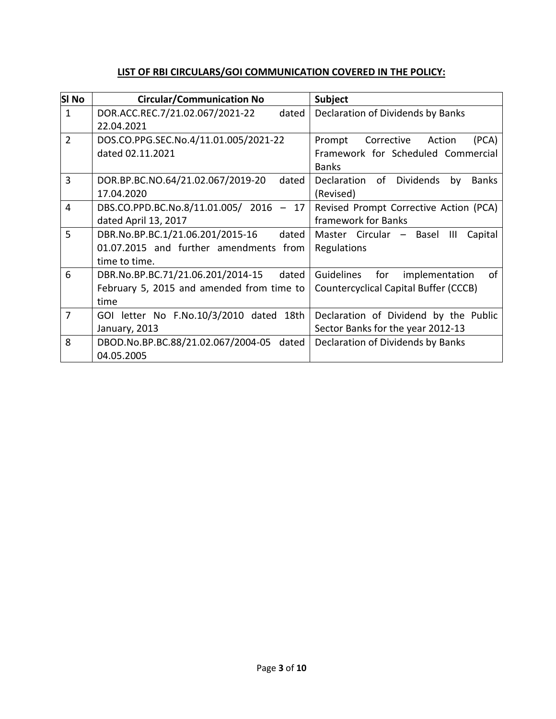### **LIST OF RBI CIRCULARS/GOI COMMUNICATION COVERED IN THE POLICY:**

| <b>SI No</b>   | <b>Circular/Communication No</b>           | <b>Subject</b>                                       |
|----------------|--------------------------------------------|------------------------------------------------------|
| $\mathbf{1}$   | DOR.ACC.REC.7/21.02.067/2021-22<br>dated   | Declaration of Dividends by Banks                    |
|                | 22.04.2021                                 |                                                      |
| $\overline{2}$ | DOS.CO.PPG.SEC.No.4/11.01.005/2021-22      | Corrective<br>Prompt<br>(PCA)<br>Action              |
|                | dated 02.11.2021                           | Framework for Scheduled Commercial                   |
|                |                                            | <b>Banks</b>                                         |
| 3              | DOR.BP.BC.NO.64/21.02.067/2019-20<br>dated | Dividends<br>Declaration<br>of<br>by<br><b>Banks</b> |
|                | 17.04.2020                                 | (Revised)                                            |
| 4              | DBS.CO.PPD.BC.No.8/11.01.005/ 2016 - 17    | Revised Prompt Corrective Action (PCA)               |
|                | dated April 13, 2017                       | framework for Banks                                  |
| 5              | DBR.No.BP.BC.1/21.06.201/2015-16<br>dated  | Master Circular - Basel<br>Capital<br>Ш              |
|                | 01.07.2015 and further amendments from     | Regulations                                          |
|                | time to time.                              |                                                      |
| 6              | DBR.No.BP.BC.71/21.06.201/2014-15<br>dated | Guidelines<br>for<br>οf<br>implementation            |
|                | February 5, 2015 and amended from time to  | Countercyclical Capital Buffer (CCCB)                |
|                | time                                       |                                                      |
| $\overline{7}$ | GOI letter No F.No.10/3/2010 dated 18th    | Declaration of Dividend by the Public                |
|                | January, 2013                              | Sector Banks for the year 2012-13                    |
| 8              | DBOD.No.BP.BC.88/21.02.067/2004-05 dated   | Declaration of Dividends by Banks                    |
|                | 04.05.2005                                 |                                                      |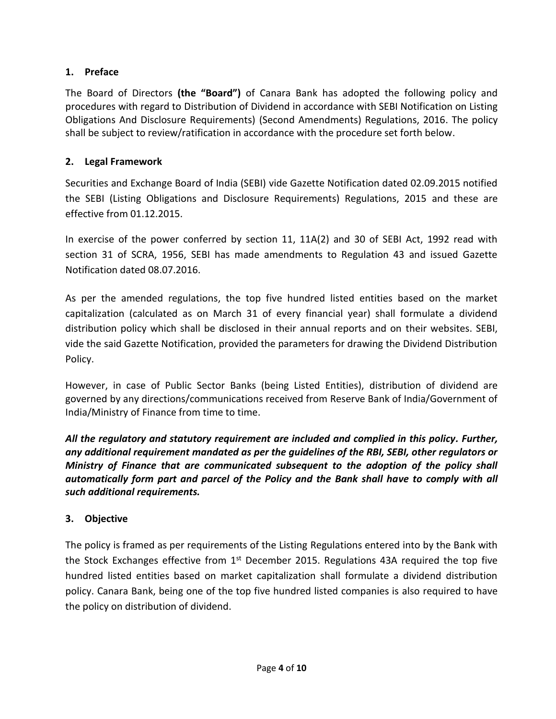#### **1. Preface**

The Board of Directors **(the "Board")** of Canara Bank has adopted the following policy and procedures with regard to Distribution of Dividend in accordance with SEBI Notification on Listing Obligations And Disclosure Requirements) (Second Amendments) Regulations, 2016. The policy shall be subject to review/ratification in accordance with the procedure set forth below.

#### **2. Legal Framework**

Securities and Exchange Board of India (SEBI) vide Gazette Notification dated 02.09.2015 notified the SEBI (Listing Obligations and Disclosure Requirements) Regulations, 2015 and these are effective from 01.12.2015.

In exercise of the power conferred by section 11, 11A(2) and 30 of SEBI Act, 1992 read with section 31 of SCRA, 1956, SEBI has made amendments to Regulation 43 and issued Gazette Notification dated 08.07.2016.

As per the amended regulations, the top five hundred listed entities based on the market capitalization (calculated as on March 31 of every financial year) shall formulate a dividend distribution policy which shall be disclosed in their annual reports and on their websites. SEBI, vide the said Gazette Notification, provided the parameters for drawing the Dividend Distribution Policy.

However, in case of Public Sector Banks (being Listed Entities), distribution of dividend are governed by any directions/communications received from Reserve Bank of India/Government of India/Ministry of Finance from time to time.

*All the regulatory and statutory requirement are included and complied in this policy. Further, any additional requirement mandated as per the guidelines of the RBI, SEBI, other regulators or Ministry of Finance that are communicated subsequent to the adoption of the policy shall automatically form part and parcel of the Policy and the Bank shall have to comply with all such additional requirements.*

### **3. Objective**

The policy is framed as per requirements of the Listing Regulations entered into by the Bank with the Stock Exchanges effective from  $1<sup>st</sup>$  December 2015. Regulations 43A required the top five hundred listed entities based on market capitalization shall formulate a dividend distribution policy. Canara Bank, being one of the top five hundred listed companies is also required to have the policy on distribution of dividend.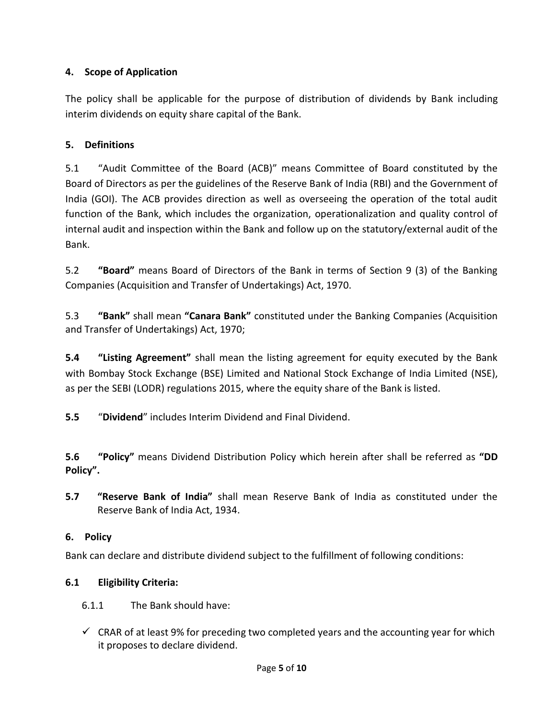### **4. Scope of Application**

The policy shall be applicable for the purpose of distribution of dividends by Bank including interim dividends on equity share capital of the Bank.

## **5. Definitions**

5.1 "Audit Committee of the Board (ACB)" means Committee of Board constituted by the Board of Directors as per the guidelines of the Reserve Bank of India (RBI) and the Government of India (GOI). The ACB provides direction as well as overseeing the operation of the total audit function of the Bank, which includes the organization, operationalization and quality control of internal audit and inspection within the Bank and follow up on the statutory/external audit of the Bank.

5.2 **"Board"** means Board of Directors of the Bank in terms of Section 9 (3) of the Banking Companies (Acquisition and Transfer of Undertakings) Act, 1970.

5.3 **"Bank"** shall mean **"Canara Bank"** constituted under the Banking Companies (Acquisition and Transfer of Undertakings) Act, 1970;

**5.4 "Listing Agreement"** shall mean the listing agreement for equity executed by the Bank with Bombay Stock Exchange (BSE) Limited and National Stock Exchange of India Limited (NSE), as per the SEBI (LODR) regulations 2015, where the equity share of the Bank is listed.

**5.5** "**Dividend**" includes Interim Dividend and Final Dividend.

**5.6 "Policy"** means Dividend Distribution Policy which herein after shall be referred as **"DD Policy".**

**5.7 "Reserve Bank of India"** shall mean Reserve Bank of India as constituted under the Reserve Bank of India Act, 1934.

### **6. Policy**

Bank can declare and distribute dividend subject to the fulfillment of following conditions:

# **6.1 Eligibility Criteria:**

- 6.1.1 The Bank should have:
- $\checkmark$  CRAR of at least 9% for preceding two completed years and the accounting year for which it proposes to declare dividend.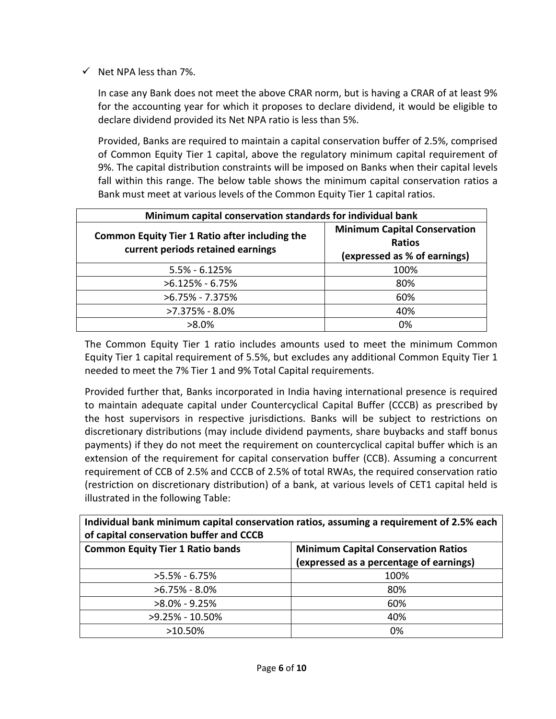$\checkmark$  Net NPA less than 7%.

In case any Bank does not meet the above CRAR norm, but is having a CRAR of at least 9% for the accounting year for which it proposes to declare dividend, it would be eligible to declare dividend provided its Net NPA ratio is less than 5%.

Provided, Banks are required to maintain a capital conservation buffer of 2.5%, comprised of Common Equity Tier 1 capital, above the regulatory minimum capital requirement of 9%. The capital distribution constraints will be imposed on Banks when their capital levels fall within this range. The below table shows the minimum capital conservation ratios a Bank must meet at various levels of the Common Equity Tier 1 capital ratios.

| Minimum capital conservation standards for individual bank                                 |                                                                               |  |  |
|--------------------------------------------------------------------------------------------|-------------------------------------------------------------------------------|--|--|
| <b>Common Equity Tier 1 Ratio after including the</b><br>current periods retained earnings | <b>Minimum Capital Conservation</b><br>Ratios<br>(expressed as % of earnings) |  |  |
| $5.5\% - 6.125\%$                                                                          | 100%                                                                          |  |  |
| $>6.125\% - 6.75\%$                                                                        | 80%                                                                           |  |  |
| $>6.75\% - 7.375\%$                                                                        | 60%                                                                           |  |  |
| $>7.375\%$ - 8.0%                                                                          | 40%                                                                           |  |  |
| $>8.0\%$                                                                                   | 0%                                                                            |  |  |

The Common Equity Tier 1 ratio includes amounts used to meet the minimum Common Equity Tier 1 capital requirement of 5.5%, but excludes any additional Common Equity Tier 1 needed to meet the 7% Tier 1 and 9% Total Capital requirements.

Provided further that, Banks incorporated in India having international presence is required to maintain adequate capital under Countercyclical Capital Buffer (CCCB) as prescribed by the host supervisors in respective jurisdictions. Banks will be subject to restrictions on discretionary distributions (may include dividend payments, share buybacks and staff bonus payments) if they do not meet the requirement on countercyclical capital buffer which is an extension of the requirement for capital conservation buffer (CCB). Assuming a concurrent requirement of CCB of 2.5% and CCCB of 2.5% of total RWAs, the required conservation ratio (restriction on discretionary distribution) of a bank, at various levels of CET1 capital held is illustrated in the following Table:

**Individual bank minimum capital conservation ratios, assuming a requirement of 2.5% each of capital conservation buffer and CCCB**

| <b>Common Equity Tier 1 Ratio bands</b> | <b>Minimum Capital Conservation Ratios</b><br>(expressed as a percentage of earnings) |  |  |
|-----------------------------------------|---------------------------------------------------------------------------------------|--|--|
| $>5.5\% - 6.75\%$                       | 100%                                                                                  |  |  |
| $>6.75\% - 8.0\%$                       | 80%                                                                                   |  |  |
| $>8.0\% - 9.25\%$                       | 60%                                                                                   |  |  |
| >9.25% - 10.50%                         | 40%                                                                                   |  |  |
| $>10.50\%$                              | 0%                                                                                    |  |  |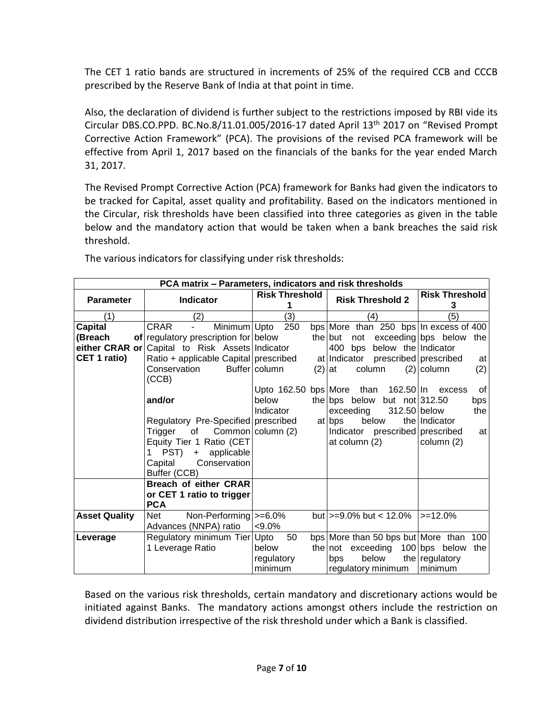The CET 1 ratio bands are structured in increments of 25% of the required CCB and CCCB prescribed by the Reserve Bank of India at that point in time.

Also, the declaration of dividend is further subject to the restrictions imposed by RBI vide its Circular DBS.CO.PPD. BC.No.8/11.01.005/2016-17 dated April 13th 2017 on "Revised Prompt Corrective Action Framework" (PCA). The provisions of the revised PCA framework will be effective from April 1, 2017 based on the financials of the banks for the year ended March 31, 2017.

The Revised Prompt Corrective Action (PCA) framework for Banks had given the indicators to be tracked for Capital, asset quality and profitability. Based on the indicators mentioned in the Circular, risk thresholds have been classified into three categories as given in the table below and the mandatory action that would be taken when a bank breaches the said risk threshold.

| PCA matrix - Parameters, indicators and risk thresholds |                                                         |                           |                                            |                            |  |  |  |
|---------------------------------------------------------|---------------------------------------------------------|---------------------------|--------------------------------------------|----------------------------|--|--|--|
| <b>Parameter</b>                                        | <b>Indicator</b>                                        | <b>Risk Threshold</b>     | <b>Risk Threshold 2</b>                    | <b>Risk Threshold</b><br>3 |  |  |  |
| (1)                                                     | (2)                                                     | (3)                       | (4)                                        | (5)                        |  |  |  |
| <b>Capital</b>                                          | <b>CRAR</b><br>Minimum Upto<br>$\overline{\phantom{0}}$ | 250                       | bps More than 250 bps In excess of 400     |                            |  |  |  |
| (Breach                                                 | of regulatory prescription for below                    |                           | not exceeding bps below<br>the but         | the                        |  |  |  |
|                                                         | either CRAR or Capital to Risk Assets Indicator         |                           | 400<br>below the Indicator<br>bps          |                            |  |  |  |
| CET 1 ratio)                                            | Ratio + applicable Capital prescribed                   |                           | prescribed prescribed<br>at Indicator      | at                         |  |  |  |
|                                                         | Conservation<br>(CCB)                                   | Buffer column             | $(2)$ at<br>column                         | (2)<br>$(2)$ column        |  |  |  |
|                                                         |                                                         | Upto 162.50 bps More than | 162.50   In                                | 0f<br>excess               |  |  |  |
|                                                         | and/or                                                  | below                     | the bps below but not $ 312.50$            | bps                        |  |  |  |
|                                                         |                                                         | Indicator                 | exceeding<br>312.50 below                  | the                        |  |  |  |
|                                                         | Regulatory Pre-Specified prescribed                     |                           | below<br>at bps                            | the Indicator              |  |  |  |
|                                                         | Trigger<br>of                                           | Common column (2)         | Indicator<br>prescribed prescribed         | at                         |  |  |  |
|                                                         | Equity Tier 1 Ratio (CET                                |                           | at column (2)                              | column (2)                 |  |  |  |
|                                                         | PST) + applicable                                       |                           |                                            |                            |  |  |  |
|                                                         | Capital<br>Conservation                                 |                           |                                            |                            |  |  |  |
|                                                         | Buffer (CCB)                                            |                           |                                            |                            |  |  |  |
|                                                         | <b>Breach of either CRAR</b>                            |                           |                                            |                            |  |  |  |
|                                                         | or CET 1 ratio to trigger                               |                           |                                            |                            |  |  |  |
|                                                         | <b>PCA</b>                                              |                           |                                            |                            |  |  |  |
| <b>Asset Quality</b>                                    | Non-Performing $\ge$ =6.0%<br>Net                       |                           | but $\ge$ =9.0% but < 12.0%                | $\ge$ =12.0%               |  |  |  |
|                                                         | Advances (NNPA) ratio                                   | $< 9.0\%$                 |                                            |                            |  |  |  |
| Leverage                                                | Regulatory minimum Tier Upto                            | 50                        | bps   More than 50 bps but   More than 100 |                            |  |  |  |
|                                                         | 1 Leverage Ratio                                        | below                     | the $ not$ exceeding 100 bps below         | the                        |  |  |  |
|                                                         |                                                         | regulatory                | below<br>bps                               | the regulatory             |  |  |  |
|                                                         |                                                         | minimum                   | regulatory minimum                         | l minimum                  |  |  |  |

The various indicators for classifying under risk thresholds:

Based on the various risk thresholds, certain mandatory and discretionary actions would be initiated against Banks. The mandatory actions amongst others include the restriction on dividend distribution irrespective of the risk threshold under which a Bank is classified.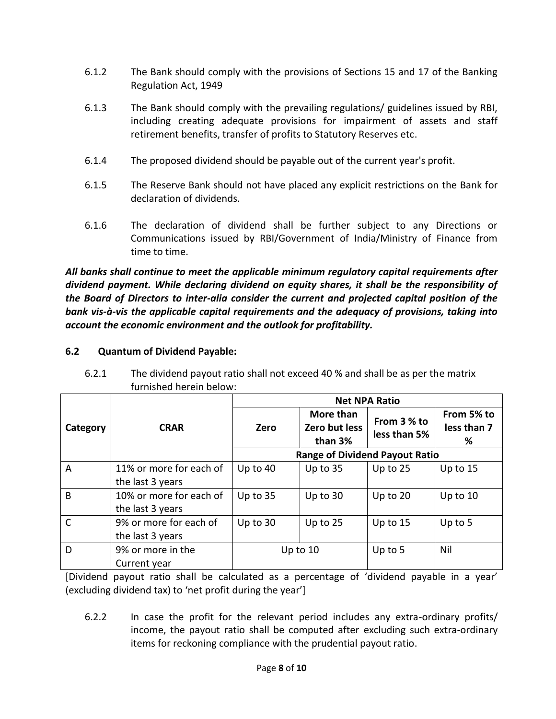- 6.1.2 The Bank should comply with the provisions of Sections 15 and 17 of the Banking Regulation Act, 1949
- 6.1.3 The Bank should comply with the prevailing regulations/ guidelines issued by RBI, including creating adequate provisions for impairment of assets and staff retirement benefits, transfer of profits to Statutory Reserves etc.
- 6.1.4 The proposed dividend should be payable out of the current year's profit.
- 6.1.5 The Reserve Bank should not have placed any explicit restrictions on the Bank for declaration of dividends.
- 6.1.6 The declaration of dividend shall be further subject to any Directions or Communications issued by RBI/Government of India/Ministry of Finance from time to time.

*All banks shall continue to meet the applicable minimum regulatory capital requirements after dividend payment. While declaring dividend on equity shares, it shall be the responsibility of the Board of Directors to inter-alia consider the current and projected capital position of the bank vis-à-vis the applicable capital requirements and the adequacy of provisions, taking into account the economic environment and the outlook for profitability.*

### **6.2 Quantum of Dividend Payable:**

| 6.2.1 | The dividend payout ratio shall not exceed 40 % and shall be as per the matrix |
|-------|--------------------------------------------------------------------------------|
|       | furnished herein below:                                                        |

|                |                                             | <b>Net NPA Ratio</b>                  |                                       |                             |                                |
|----------------|---------------------------------------------|---------------------------------------|---------------------------------------|-----------------------------|--------------------------------|
| Category       | <b>CRAR</b>                                 | Zero                                  | More than<br>Zero but less<br>than 3% | From 3 % to<br>less than 5% | From 5% to<br>less than 7<br>% |
|                |                                             | <b>Range of Dividend Payout Ratio</b> |                                       |                             |                                |
| $\overline{A}$ | 11% or more for each of<br>the last 3 years | Up to $40$                            | Up to $35$                            | Up to 25                    | Up to $15$                     |
| B              | 10% or more for each of<br>the last 3 years | Up to 35                              | Up to 30                              | Up to 20                    | Up to $10$                     |
| $\mathsf{C}$   | 9% or more for each of<br>the last 3 years  | Up to 30                              | Up to $25$                            | Up to 15                    | Up to $5$                      |
| D              | 9% or more in the<br>Current year           |                                       | Up to 10                              | Up to $5$                   | Nil                            |

[Dividend payout ratio shall be calculated as a percentage of 'dividend payable in a year' (excluding dividend tax) to 'net profit during the year']

6.2.2 In case the profit for the relevant period includes any extra-ordinary profits/ income, the payout ratio shall be computed after excluding such extra-ordinary items for reckoning compliance with the prudential payout ratio.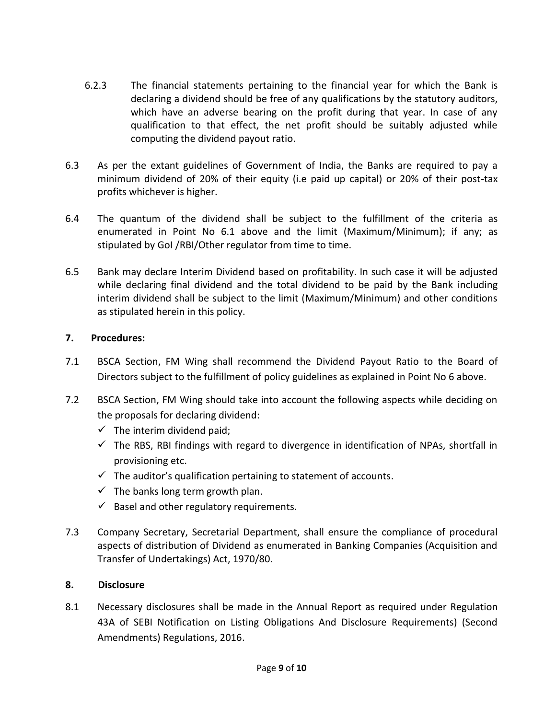- 6.2.3 The financial statements pertaining to the financial year for which the Bank is declaring a dividend should be free of any qualifications by the statutory auditors, which have an adverse bearing on the profit during that year. In case of any qualification to that effect, the net profit should be suitably adjusted while computing the dividend payout ratio.
- 6.3 As per the extant guidelines of Government of India, the Banks are required to pay a minimum dividend of 20% of their equity (i.e paid up capital) or 20% of their post-tax profits whichever is higher.
- 6.4 The quantum of the dividend shall be subject to the fulfillment of the criteria as enumerated in Point No 6.1 above and the limit (Maximum/Minimum); if any; as stipulated by GoI /RBI/Other regulator from time to time.
- 6.5 Bank may declare Interim Dividend based on profitability. In such case it will be adjusted while declaring final dividend and the total dividend to be paid by the Bank including interim dividend shall be subject to the limit (Maximum/Minimum) and other conditions as stipulated herein in this policy.

#### **7. Procedures:**

- 7.1 BSCA Section, FM Wing shall recommend the Dividend Payout Ratio to the Board of Directors subject to the fulfillment of policy guidelines as explained in Point No 6 above.
- 7.2 BSCA Section, FM Wing should take into account the following aspects while deciding on the proposals for declaring dividend:
	- $\checkmark$  The interim dividend paid;
	- $\checkmark$  The RBS, RBI findings with regard to divergence in identification of NPAs, shortfall in provisioning etc.
	- $\checkmark$  The auditor's qualification pertaining to statement of accounts.
	- $\checkmark$  The banks long term growth plan.
	- $\checkmark$  Basel and other regulatory requirements.
- 7.3 Company Secretary, Secretarial Department, shall ensure the compliance of procedural aspects of distribution of Dividend as enumerated in Banking Companies (Acquisition and Transfer of Undertakings) Act, 1970/80.

### **8. Disclosure**

8.1 Necessary disclosures shall be made in the Annual Report as required under Regulation 43A of SEBI Notification on Listing Obligations And Disclosure Requirements) (Second Amendments) Regulations, 2016.